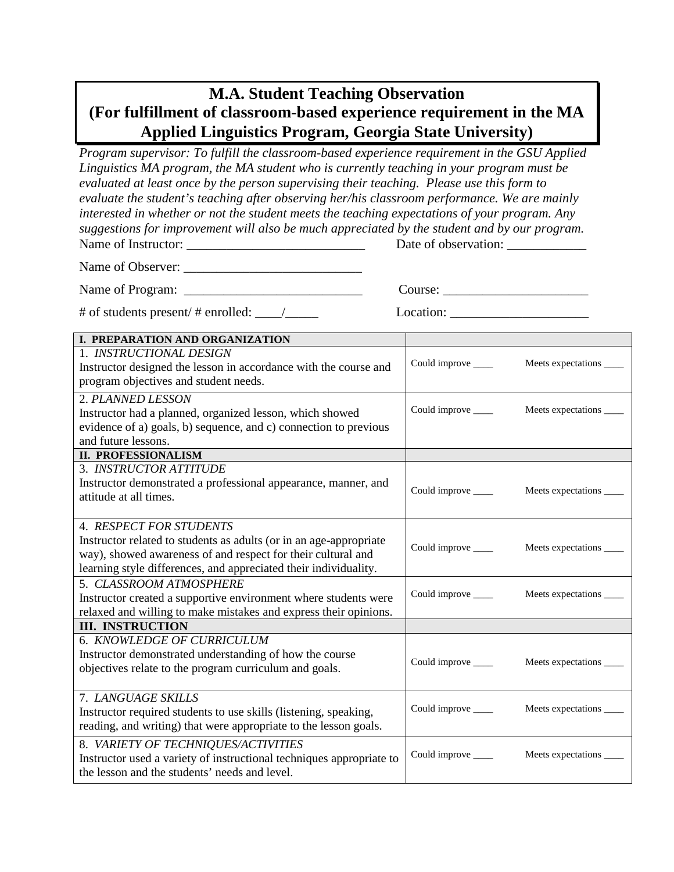## **M.A. Student Teaching Observation (For fulfillment of classroom-based experience requirement in the MA Applied Linguistics Program, Georgia State University)**

*Program supervisor: To fulfill the classroom-based experience requirement in the GSU Applied Linguistics MA program, the MA student who is currently teaching in your program must be evaluated at least once by the person supervising their teaching. Please use this form to evaluate the student's teaching after observing her/his classroom performance. We are mainly interested in whether or not the student meets the teaching expectations of your program. Any suggestions for improvement will also be much appreciated by the student and by our program.*  Name of Instructor: \_\_\_\_\_\_\_\_\_\_\_\_\_\_\_\_\_\_\_\_\_\_\_\_\_\_\_ Date of observation: \_\_\_\_\_\_\_\_\_\_\_\_

Name of Observer:

Name of Program: \_\_\_\_\_\_\_\_\_\_\_\_\_\_\_\_\_\_\_\_\_\_\_\_\_\_\_ Course: \_\_\_\_\_\_\_\_\_\_\_\_\_\_\_\_\_\_\_\_\_\_

# of students present/ # enrolled: \_\_\_\_/\_\_\_\_\_ Location: \_\_\_\_\_\_\_\_\_\_\_\_\_\_\_\_\_\_\_\_\_

| <b>I. PREPARATION AND ORGANIZATION</b>                               |                     |                            |
|----------------------------------------------------------------------|---------------------|----------------------------|
| 1. INSTRUCTIONAL DESIGN                                              |                     |                            |
| Instructor designed the lesson in accordance with the course and     | Could improve _____ | Meets expectations _____   |
| program objectives and student needs.                                |                     |                            |
| 2. PLANNED LESSON                                                    |                     |                            |
| Instructor had a planned, organized lesson, which showed             | Could improve _____ | Meets expectations _____   |
| evidence of a) goals, b) sequence, and c) connection to previous     |                     |                            |
| and future lessons.                                                  |                     |                            |
| <b>II. PROFESSIONALISM</b>                                           |                     |                            |
| 3. INSTRUCTOR ATTITUDE                                               |                     |                            |
| Instructor demonstrated a professional appearance, manner, and       | Could improve _____ | Meets expectations _____   |
| attitude at all times.                                               |                     |                            |
|                                                                      |                     |                            |
| <b>4. RESPECT FOR STUDENTS</b>                                       |                     |                            |
| Instructor related to students as adults (or in an age-appropriate   | Could improve _____ | Meets expectations _____   |
| way), showed awareness of and respect for their cultural and         |                     |                            |
| learning style differences, and appreciated their individuality.     |                     |                            |
| 5. CLASSROOM ATMOSPHERE                                              |                     |                            |
| Instructor created a supportive environment where students were      | Could improve _____ | Meets expectations _____   |
| relaxed and willing to make mistakes and express their opinions.     |                     |                            |
| <b>III. INSTRUCTION</b>                                              |                     |                            |
| 6. KNOWLEDGE OF CURRICULUM                                           |                     |                            |
| Instructor demonstrated understanding of how the course              | Could improve ____  | Meets expectations _____   |
| objectives relate to the program curriculum and goals.               |                     |                            |
|                                                                      |                     |                            |
| 7. LANGUAGE SKILLS                                                   |                     |                            |
| Instructor required students to use skills (listening, speaking,     | Could improve _____ | Meets expectations _____   |
| reading, and writing) that were appropriate to the lesson goals.     |                     |                            |
| 8. VARIETY OF TECHNIQUES/ACTIVITIES                                  |                     |                            |
| Instructor used a variety of instructional techniques appropriate to | Could improve _____ | Meets expectations _______ |
| the lesson and the students' needs and level.                        |                     |                            |